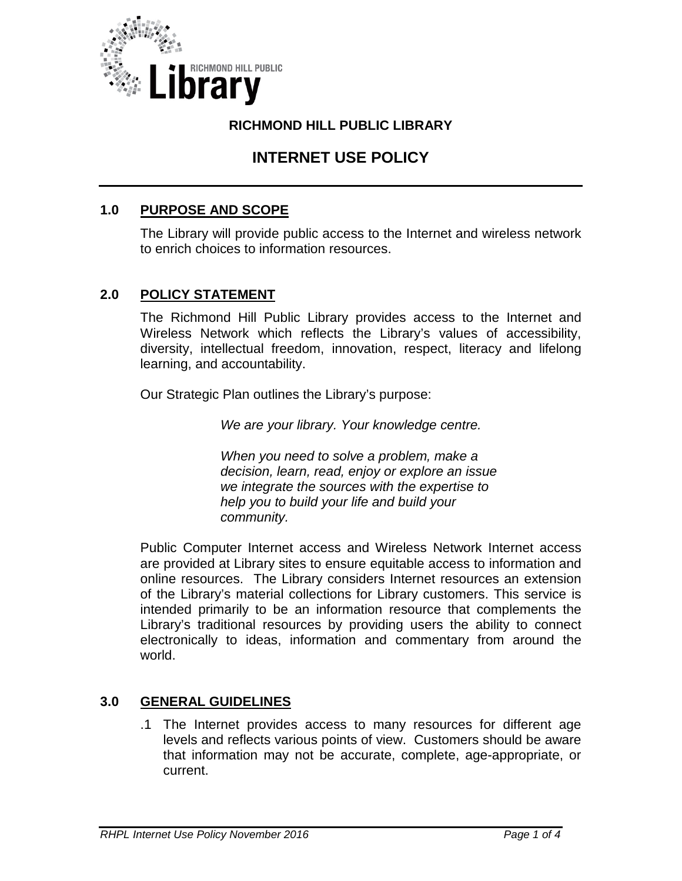

## **RICHMOND HILL PUBLIC LIBRARY**

# **INTERNET USE POLICY**

## **1.0 PURPOSE AND SCOPE**

The Library will provide public access to the Internet and wireless network to enrich choices to information resources.

### **2.0 POLICY STATEMENT**

The Richmond Hill Public Library provides access to the Internet and Wireless Network which reflects the Library's values of accessibility, diversity, intellectual freedom, innovation, respect, literacy and lifelong learning, and accountability.

Our Strategic Plan outlines the Library's purpose:

*We are your library. Your knowledge centre.*

*When you need to solve a problem, make a decision, learn, read, enjoy or explore an issue we integrate the sources with the expertise to help you to build your life and build your community.*

Public Computer Internet access and Wireless Network Internet access are provided at Library sites to ensure equitable access to information and online resources. The Library considers Internet resources an extension of the Library's material collections for Library customers. This service is intended primarily to be an information resource that complements the Library's traditional resources by providing users the ability to connect electronically to ideas, information and commentary from around the world.

#### **3.0 GENERAL GUIDELINES**

.1 The Internet provides access to many resources for different age levels and reflects various points of view. Customers should be aware that information may not be accurate, complete, age-appropriate, or current.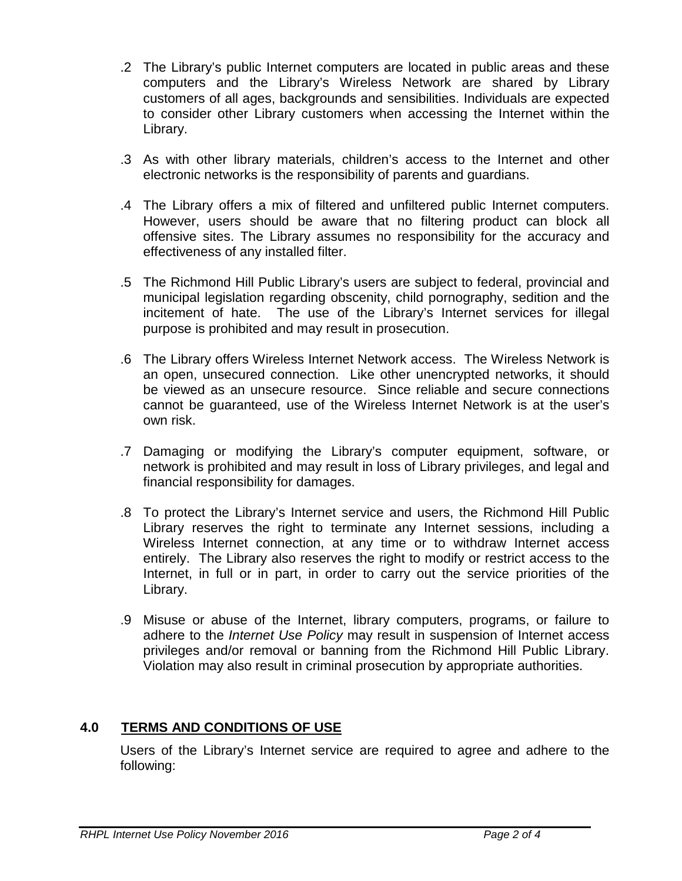- .2 The Library's public Internet computers are located in public areas and these computers and the Library's Wireless Network are shared by Library customers of all ages, backgrounds and sensibilities. Individuals are expected to consider other Library customers when accessing the Internet within the Library.
- .3 As with other library materials, children's access to the Internet and other electronic networks is the responsibility of parents and guardians.
- .4 The Library offers a mix of filtered and unfiltered public Internet computers. However, users should be aware that no filtering product can block all offensive sites. The Library assumes no responsibility for the accuracy and effectiveness of any installed filter.
- .5 The Richmond Hill Public Library's users are subject to federal, provincial and municipal legislation regarding obscenity, child pornography, sedition and the incitement of hate. The use of the Library's Internet services for illegal purpose is prohibited and may result in prosecution.
- .6 The Library offers Wireless Internet Network access. The Wireless Network is an open, unsecured connection. Like other unencrypted networks, it should be viewed as an unsecure resource. Since reliable and secure connections cannot be guaranteed, use of the Wireless Internet Network is at the user's own risk.
- .7 Damaging or modifying the Library's computer equipment, software, or network is prohibited and may result in loss of Library privileges, and legal and financial responsibility for damages.
- .8 To protect the Library's Internet service and users, the Richmond Hill Public Library reserves the right to terminate any Internet sessions, including a Wireless Internet connection, at any time or to withdraw Internet access entirely. The Library also reserves the right to modify or restrict access to the Internet, in full or in part, in order to carry out the service priorities of the Library.
- .9 Misuse or abuse of the Internet, library computers, programs, or failure to adhere to the *Internet Use Policy* may result in suspension of Internet access privileges and/or removal or banning from the Richmond Hill Public Library. Violation may also result in criminal prosecution by appropriate authorities.

# **4.0 TERMS AND CONDITIONS OF USE**

Users of the Library's Internet service are required to agree and adhere to the following: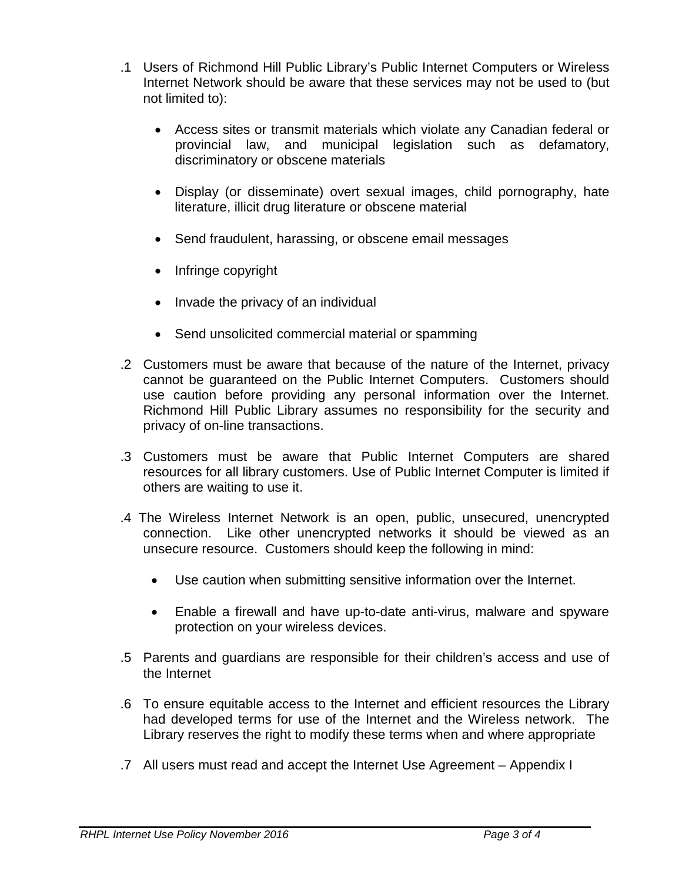- .1 Users of Richmond Hill Public Library's Public Internet Computers or Wireless Internet Network should be aware that these services may not be used to (but not limited to):
	- Access sites or transmit materials which violate any Canadian federal or provincial law, and municipal legislation such as defamatory, discriminatory or obscene materials
	- Display (or disseminate) overt sexual images, child pornography, hate literature, illicit drug literature or obscene material
	- Send fraudulent, harassing, or obscene email messages
	- Infringe copyright
	- Invade the privacy of an individual
	- Send unsolicited commercial material or spamming
- .2 Customers must be aware that because of the nature of the Internet, privacy cannot be guaranteed on the Public Internet Computers. Customers should use caution before providing any personal information over the Internet. Richmond Hill Public Library assumes no responsibility for the security and privacy of on-line transactions.
- .3 Customers must be aware that Public Internet Computers are shared resources for all library customers. Use of Public Internet Computer is limited if others are waiting to use it.
- .4 The Wireless Internet Network is an open, public, unsecured, unencrypted connection. Like other unencrypted networks it should be viewed as an unsecure resource. Customers should keep the following in mind:
	- Use caution when submitting sensitive information over the Internet.
	- Enable a firewall and have up-to-date anti-virus, malware and spyware protection on your wireless devices.
- .5 Parents and guardians are responsible for their children's access and use of the Internet
- .6 To ensure equitable access to the Internet and efficient resources the Library had developed terms for use of the Internet and the Wireless network. The Library reserves the right to modify these terms when and where appropriate
- .7 All users must read and accept the Internet Use Agreement Appendix I